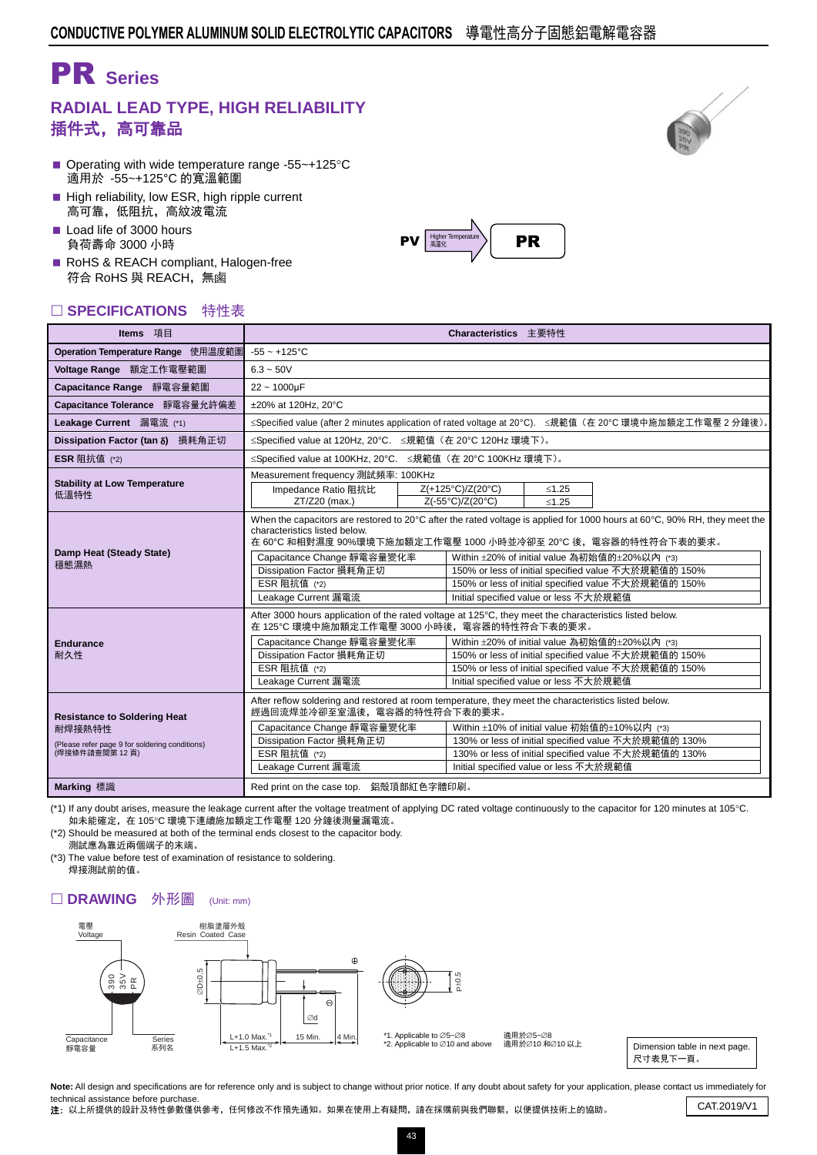# PR **Series**

## **RADIAL LEAD TYPE, HIGH RELIABILITY** 插件式,高可靠品

- Operating with wide temperature range -55 $\sim$ +125 $\degree$ C 適用於 -55~+125°C 的寬溫範圍
- High reliability, low ESR, high ripple current 高可靠,低阻抗,高紋波電流
- Load life of 3000 hours 負荷壽命 3000 小時

**Endurance** あんじょう

RoHS & REACH compliant, Halogen-free 符合 RoHS 與 REACH,無鹵

### □ SPECIFICATIONS 特性表

| SPECIFICATIONS 特性表                                                                                               |                                                                                                                                                                                                                                                                                                                                                                                                                                                                                                                                       |  |  |  |  |  |  |  |  |  |  |
|------------------------------------------------------------------------------------------------------------------|---------------------------------------------------------------------------------------------------------------------------------------------------------------------------------------------------------------------------------------------------------------------------------------------------------------------------------------------------------------------------------------------------------------------------------------------------------------------------------------------------------------------------------------|--|--|--|--|--|--|--|--|--|--|
| Items 項目                                                                                                         | Characteristics 主要特性                                                                                                                                                                                                                                                                                                                                                                                                                                                                                                                  |  |  |  |  |  |  |  |  |  |  |
| Operation Temperature Range 使用温度範圍                                                                               | $-55 - +125$ °C                                                                                                                                                                                                                                                                                                                                                                                                                                                                                                                       |  |  |  |  |  |  |  |  |  |  |
| Voltage Range 額定工作電壓範圍                                                                                           | $6.3 - 50V$                                                                                                                                                                                                                                                                                                                                                                                                                                                                                                                           |  |  |  |  |  |  |  |  |  |  |
| Capacitance Range 靜電容量範圍                                                                                         | $22 - 1000 \mu F$                                                                                                                                                                                                                                                                                                                                                                                                                                                                                                                     |  |  |  |  |  |  |  |  |  |  |
| Capacitance Tolerance 靜電容量允許偏差                                                                                   | ±20% at 120Hz. 20°C                                                                                                                                                                                                                                                                                                                                                                                                                                                                                                                   |  |  |  |  |  |  |  |  |  |  |
| Leakage Current 漏電流 (*1)                                                                                         | ≤Specified value (after 2 minutes application of rated voltage at 20°C). ≤規範值 (在 20°C 環境中施加額定工作電壓 2 分鐘後)。                                                                                                                                                                                                                                                                                                                                                                                                                             |  |  |  |  |  |  |  |  |  |  |
| Dissipation Factor (tan $\delta$ ) 損耗角正切                                                                         | ≤Specified value at 120Hz, 20°C. ≤規範值 (在 20°C 120Hz 環境下)。                                                                                                                                                                                                                                                                                                                                                                                                                                                                             |  |  |  |  |  |  |  |  |  |  |
| <b>ESR</b> 阻抗值 (*2)                                                                                              | ≤Specified value at 100KHz, 20°C. ≤規範值 (在 20°C 100KHz 環境下)。                                                                                                                                                                                                                                                                                                                                                                                                                                                                           |  |  |  |  |  |  |  |  |  |  |
| <b>Stability at Low Temperature</b><br>低溫特性                                                                      | Measurement frequency 測試頻率: 100KHz<br>Z(+125°C)/Z(20°C)<br>Impedance Ratio 阻抗比<br>$≤1.25$<br>ZT/Z20 (max.)<br>Z(-55°C)/Z(20°C)<br>$≤1.25$                                                                                                                                                                                                                                                                                                                                                                                             |  |  |  |  |  |  |  |  |  |  |
| Damp Heat (Steady State)<br>穩態濕熱                                                                                 | When the capacitors are restored to 20°C after the rated voltage is applied for 1000 hours at 60°C, 90% RH, they meet the<br>characteristics listed below.<br>在 60℃ 和相對濕度 90%環境下施加額定工作電壓 1000 小時並冷卻至 20℃ 後,電容器的特性符合下表的要求。<br>Capacitance Change 靜電容量變化率<br>Within ±20% of initial value 為初始值的±20%以內 (*3)<br>Dissipation Factor 損耗角正切<br>150% or less of initial specified value 不大於規範值的 150%<br>ESR 阻抗值 (*2)<br>150% or less of initial specified value 不大於規範值的 150%<br>Leakage Current 漏電流<br>Initial specified value or less 不大於規範值 |  |  |  |  |  |  |  |  |  |  |
| <b>Endurance</b><br>耐久性                                                                                          | After 3000 hours application of the rated voltage at 125°C, they meet the characteristics listed below.<br>在 125℃ 環境中施加額定工作電壓 3000 小時後, 電容器的特性符合下表的要求。<br>Capacitance Change 靜電容量變化率<br>Within ±20% of initial value 為初始值的±20%以內 (*3)<br>Dissipation Factor 損耗角正切<br>150% or less of initial specified value 不大於規範值的 150%<br>ESR 阻抗值 (*2)<br>150% or less of initial specified value 不大於規範值的 150%<br>Leakage Current 漏電流<br>Initial specified value or less 不大於規範值                                                                    |  |  |  |  |  |  |  |  |  |  |
| <b>Resistance to Soldering Heat</b><br>耐焊接熱特性<br>(Please refer page 9 for soldering conditions)<br>(焊接條件請查閱第12頁) | After reflow soldering and restored at room temperature, they meet the characteristics listed below.<br>經過回流焊並冷卻至室溫後,電容器的特性符合下表的要求。<br>Capacitance Change 靜電容量變化率<br>Within ±10% of initial value 初始值的±10%以内 (*3)<br>Dissipation Factor 損耗角正切<br>130% or less of initial specified value 不大於規範值的 130%<br>ESR 阻抗值 (*2)<br>130% or less of initial specified value 不大於規範值的 130%<br>Leakage Current 漏電流<br>Initial specified value or less 不大於規範值                                                                                        |  |  |  |  |  |  |  |  |  |  |
| Marking 標識                                                                                                       | Red print on the case top. 鋁殼頂部紅色字體印刷。                                                                                                                                                                                                                                                                                                                                                                                                                                                                                                |  |  |  |  |  |  |  |  |  |  |

(\*1) If any doubt arises, measure the leakage current after the voltage treatment of applying DC rated voltage continuously to the capacitor for 120 minutes at 105°C. 如未能確定,在 105C 環境下連續施加額定工作電壓 120 分鐘後測量漏電流。

(\*2) Should be measured at both of the terminal ends closest to the capacitor body. 測試應為靠近兩個端子的末端。

(\*3) The value before test of examination of resistance to soldering. 焊接測試前的值。

#### □ DRAWING 外形圖 (Unit: mm)



適用於∅5~Ø8 適用於∅10 和∅10 以上

Dimension table in next page. 尺寸表見下一頁。

Note: All design and specifications are for reference only and is subject to change without prior notice. If any doubt about safety for your application, please contact us immediately for technical assistance before purchase.

tecnnical assistance before purchase.<br>注: 以上所提供的設計及特性參數僅供參考,任何修改不作預先通知。如果在使用上有疑問,請在採購前與我們聯繫,以便提供技術上的協助。 CAT.2019/V1